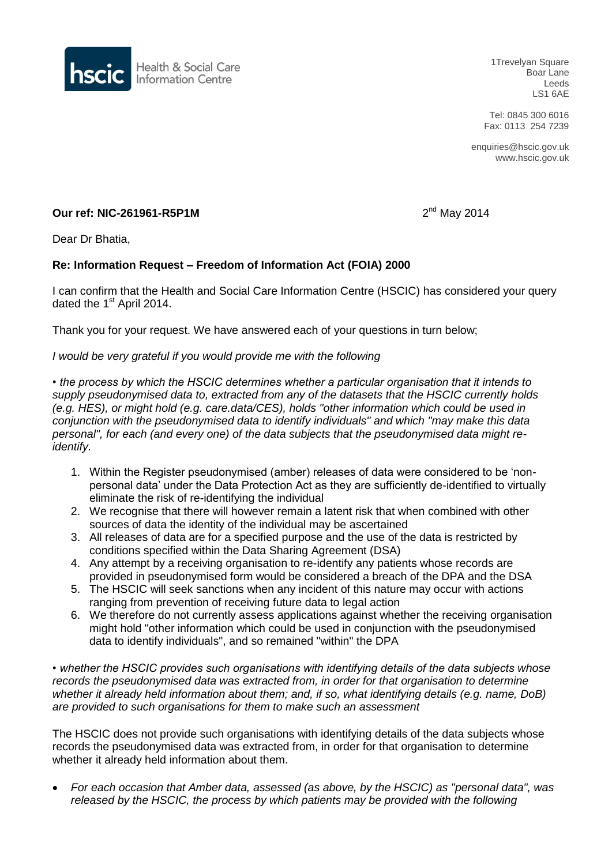

1Trevelyan Square Boar Lane Leeds LS1 6AE

Tel: 0845 300 6016 Fax: 0113 254 7239

enquiries@hscic.gov.uk www.hscic.gov.uk

# **Our ref: NIC-261961-R5P1M** 2

 $2<sup>nd</sup>$  May 2014

Dear Dr Bhatia,

# **Re: Information Request – Freedom of Information Act (FOIA) 2000**

I can confirm that the Health and Social Care Information Centre (HSCIC) has considered your query dated the 1<sup>st</sup> April 2014.

Thank you for your request. We have answered each of your questions in turn below;

#### *I would be very grateful if you would provide me with the following*

*• the process by which the HSCIC determines whether a particular organisation that it intends to supply pseudonymised data to, extracted from any of the datasets that the HSCIC currently holds (e.g. HES), or might hold (e.g. care.data/CES), holds "other information which could be used in conjunction with the pseudonymised data to identify individuals" and which "may make this data personal", for each (and every one) of the data subjects that the pseudonymised data might reidentify.*

- 1. Within the Register pseudonymised (amber) releases of data were considered to be 'nonpersonal data' under the Data Protection Act as they are sufficiently de-identified to virtually eliminate the risk of re-identifying the individual
- 2. We recognise that there will however remain a latent risk that when combined with other sources of data the identity of the individual may be ascertained
- 3. All releases of data are for a specified purpose and the use of the data is restricted by conditions specified within the Data Sharing Agreement (DSA)
- 4. Any attempt by a receiving organisation to re-identify any patients whose records are provided in pseudonymised form would be considered a breach of the DPA and the DSA
- 5. The HSCIC will seek sanctions when any incident of this nature may occur with actions ranging from prevention of receiving future data to legal action
- 6. We therefore do not currently assess applications against whether the receiving organisation might hold "other information which could be used in conjunction with the pseudonymised data to identify individuals", and so remained "within" the DPA

*• whether the HSCIC provides such organisations with identifying details of the data subjects whose records the pseudonymised data was extracted from, in order for that organisation to determine whether it already held information about them; and, if so, what identifying details (e.g. name, DoB) are provided to such organisations for them to make such an assessment*

The HSCIC does not provide such organisations with identifying details of the data subjects whose records the pseudonymised data was extracted from, in order for that organisation to determine whether it already held information about them.

 *For each occasion that Amber data, assessed (as above, by the HSCIC) as "personal data", was released by the HSCIC, the process by which patients may be provided with the following*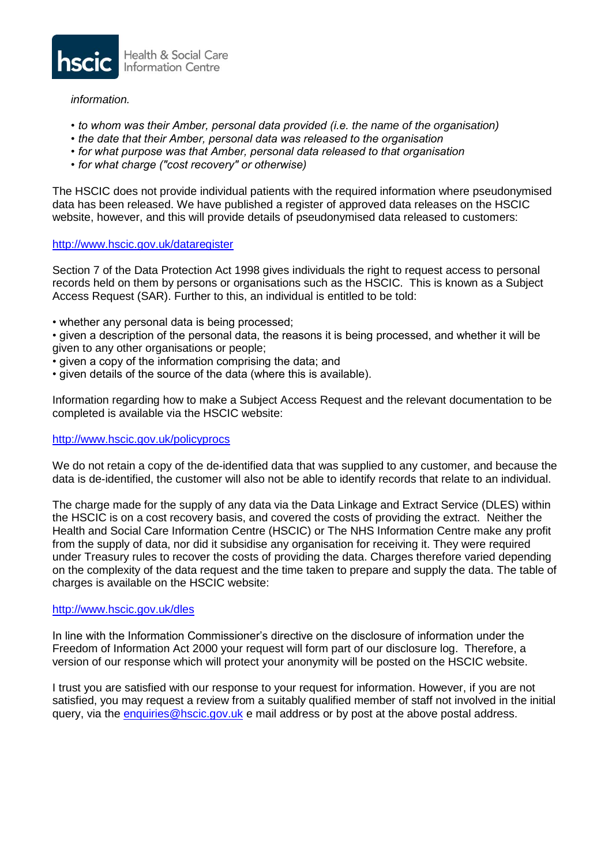

## *information.*

- *to whom was their Amber, personal data provided (i.e. the name of the organisation)*
- *the date that their Amber, personal data was released to the organisation*
- *for what purpose was that Amber, personal data released to that organisation*
- *for what charge ("cost recovery" or otherwise)*

The HSCIC does not provide individual patients with the required information where pseudonymised data has been released. We have published a register of approved data releases on the HSCIC website, however, and this will provide details of pseudonymised data released to customers:

# <http://www.hscic.gov.uk/dataregister>

Section 7 of the Data Protection Act 1998 gives individuals the right to request access to personal records held on them by persons or organisations such as the HSCIC. This is known as a Subject Access Request (SAR). Further to this, an individual is entitled to be told:

• whether any personal data is being processed:

• given a description of the personal data, the reasons it is being processed, and whether it will be given to any other organisations or people;

- given a copy of the information comprising the data; and
- given details of the source of the data (where this is available).

Information regarding how to make a Subject Access Request and the relevant documentation to be completed is available via the HSCIC website:

## <http://www.hscic.gov.uk/policyprocs>

We do not retain a copy of the de-identified data that was supplied to any customer, and because the data is de-identified, the customer will also not be able to identify records that relate to an individual.

The charge made for the supply of any data via the Data Linkage and Extract Service (DLES) within the HSCIC is on a cost recovery basis, and covered the costs of providing the extract. Neither the Health and Social Care Information Centre (HSCIC) or The NHS Information Centre make any profit from the supply of data, nor did it subsidise any organisation for receiving it. They were required under Treasury rules to recover the costs of providing the data. Charges therefore varied depending on the complexity of the data request and the time taken to prepare and supply the data. The table of charges is available on the HSCIC website:

## <http://www.hscic.gov.uk/dles>

In line with the Information Commissioner's directive on the disclosure of information under the Freedom of Information Act 2000 your request will form part of our disclosure log. Therefore, a version of our response which will protect your anonymity will be posted on the HSCIC website.

I trust you are satisfied with our response to your request for information. However, if you are not satisfied, you may request a review from a suitably qualified member of staff not involved in the initial query, via the [enquiries@hscic.gov.uk](mailto:xxxxxxxxx@xxxxx.xxx.xx) e mail address or by post at the above postal address.